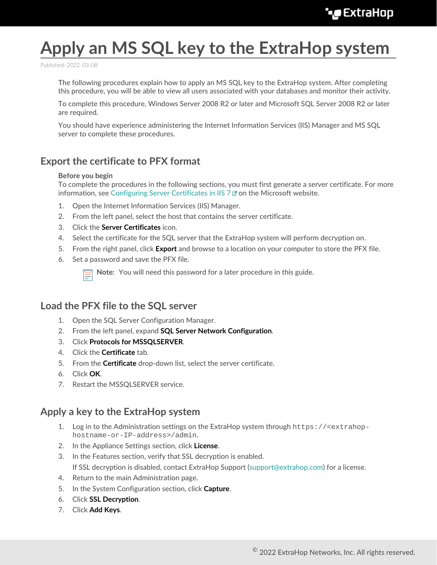# **Apply an MS SQL key to the ExtraHop system**

Published: 2022-03-08

The following procedures explain how to apply an MS SQL key to the ExtraHop system. After completing this procedure, you will be able to view all users associated with your databases and monitor their activity.

To complete this procedure, Windows Server 2008 R2 or later and Microsoft SQL Server 2008 R2 or later are required.

You should have experience administering the Internet Information Services (IIS) Manager and MS SQL server to complete these procedures.

# **Export the certificate to PFX format**

#### **Before you begin**

To complete the procedures in the following sections, you must first generate a server certificate. For more information, see Configuring Server Certificates in IIS  $7 \times$  on the Microsoft website.

- 1. Open the Internet Information Services (IIS) Manager.
- 2. From the left panel, select the host that contains the server certificate.
- 3. Click the **Server Certificates** icon.
- 4. Select the certificate for the SQL server that the ExtraHop system will perform decryption on.
- 5. From the right panel, click **Export** and browse to a location on your computer to store the PFX file.
- 6. Set a password and save the PFX file.

**Note:** You will need this password for a later procedure in this guide.

### **Load the PFX file to the SQL server**

- 1. Open the SQL Server Configuration Manager.
- 2. From the left panel, expand **SQL Server Network Configuration**.
- 3. Click **Protocols for MSSQLSERVER**.
- 4. Click the **Certificate** tab.
- 5. From the **Certificate** drop-down list, select the server certificate.
- 6. Click **OK**.
- 7. Restart the MSSQLSERVER service.

#### **Apply a key to the ExtraHop system**

- 1. Log in to the Administration settings on the ExtraHop system through https://<extrahophostname-or-IP-address>/admin.
- 2. In the Appliance Settings section, click **License**.
- 3. In the Features section, verify that SSL decryption is enabled. If SSL decryption is disabled, contact ExtraHop Support ([support@extrahop.com\)](mailto:support@extrahop.com) for a license.
- 4. Return to the main Administration page.
- 5. In the System Configuration section, click **Capture**.
- 6. Click **SSL Decryption**.
- 7. Click **Add Keys**.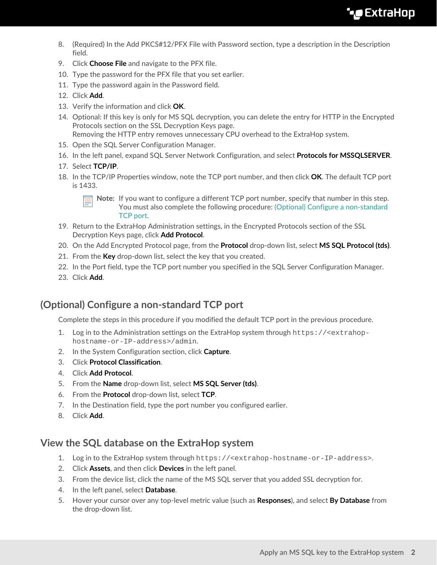- 8. (Required) In the Add PKCS#12/PFX File with Password section, type a description in the Description field.
- 9. Click **Choose File** and navigate to the PFX file.
- 10. Type the password for the PFX file that you set earlier.
- 11. Type the password again in the Password field.
- 12. Click **Add**.
- 13. Verify the information and click **OK**.
- 14. Optional: If this key is only for MS SQL decryption, you can delete the entry for HTTP in the Encrypted Protocols section on the SSL Decryption Keys page. Removing the HTTP entry removes unnecessary CPU overhead to the ExtraHop system.
- 15. Open the SQL Server Configuration Manager.
- 16. In the left panel, expand SQL Server Network Configuration, and select **Protocols for MSSQLSERVER**.
- 17. Select **TCP/IP**.
- 18. In the TCP/IP Properties window, note the TCP port number, and then click **OK**. The default TCP port is 1433.

**Note:** If you want to configure a different TCP port number, specify that number in this step. You must also complete the following procedure: [\(Optional\) Configure a non-standard](#page-1-0) [TCP port](#page-1-0).

- 19. Return to the ExtraHop Administration settings, in the Encrypted Protocols section of the SSL Decryption Keys page, click **Add Protocol**.
- 20. On the Add Encrypted Protocol page, from the **Protocol** drop-down list, select **MS SQL Protocol (tds)**.
- 21. From the **Key** drop-down list, select the key that you created.
- 22. In the Port field, type the TCP port number you specified in the SQL Server Configuration Manager.
- 23. Click **Add**.

# <span id="page-1-0"></span>**(Optional) Configure a non-standard TCP port**

Complete the steps in this procedure if you modified the default TCP port in the previous procedure.

- 1. Log in to the Administration settings on the ExtraHop system through https://<extrahophostname-or-IP-address>/admin.
- 2. In the System Configuration section, click **Capture**.
- 3. Click **Protocol Classification**.
- 4. Click **Add Protocol**.
- 5. From the **Name** drop-down list, select **MS SQL Server (tds)**.
- 6. From the **Protocol** drop-down list, select **TCP**.
- 7. In the Destination field, type the port number you configured earlier.
- 8. Click **Add**.

## **View the SQL database on the ExtraHop system**

- 1. Log in to the ExtraHop system through https://<extrahop-hostname-or-IP-address>.
- 2. Click **Assets**, and then click **Devices** in the left panel.
- 3. From the device list, click the name of the MS SQL server that you added SSL decryption for.
- 4. In the left panel, select **Database**.
- 5. Hover your cursor over any top-level metric value (such as **Responses**), and select **By Database** from the drop-down list.